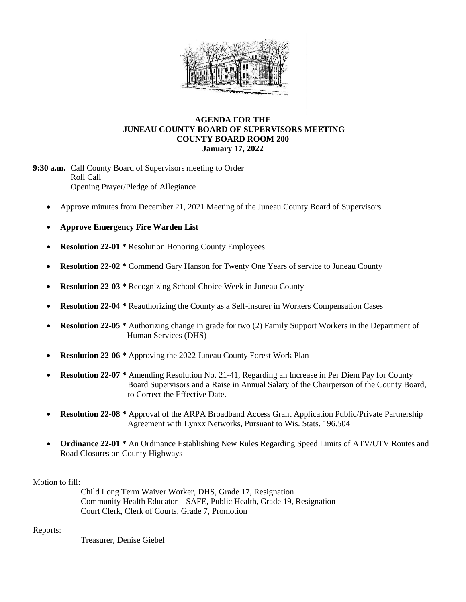

## **AGENDA FOR THE JUNEAU COUNTY BOARD OF SUPERVISORS MEETING COUNTY BOARD ROOM 200 January 17, 2022**

**9:30 a.m.** Call County Board of Supervisors meeting to Order Roll Call Opening Prayer/Pledge of Allegiance

- Approve minutes from December 21, 2021 Meeting of the Juneau County Board of Supervisors
- **Approve Emergency Fire Warden List**
- **Resolution 22-01** \* Resolution Honoring County Employees
- **Resolution 22-02 \*** Commend Gary Hanson for Twenty One Years of service to Juneau County
- **Resolution 22-03** \* Recognizing School Choice Week in Juneau County
- **Resolution 22-04** \* Reauthorizing the County as a Self-insurer in Workers Compensation Cases
- **Resolution 22-05 \*** Authorizing change in grade for two (2) Family Support Workers in the Department of Human Services (DHS)
- **Resolution 22-06 \*** Approving the 2022 Juneau County Forest Work Plan
- **Resolution 22-07 \*** Amending Resolution No. 21-41, Regarding an Increase in Per Diem Pay for County Board Supervisors and a Raise in Annual Salary of the Chairperson of the County Board, to Correct the Effective Date.
- **Resolution 22-08 \*** Approval of the ARPA Broadband Access Grant Application Public/Private Partnership Agreement with Lynxx Networks, Pursuant to Wis. Stats. 196.504
- **Ordinance 22-01 \*** An Ordinance Establishing New Rules Regarding Speed Limits of ATV/UTV Routes and Road Closures on County Highways

Motion to fill:

Child Long Term Waiver Worker, DHS, Grade 17, Resignation Community Health Educator – SAFE, Public Health, Grade 19, Resignation Court Clerk, Clerk of Courts, Grade 7, Promotion

Reports:

Treasurer, Denise Giebel